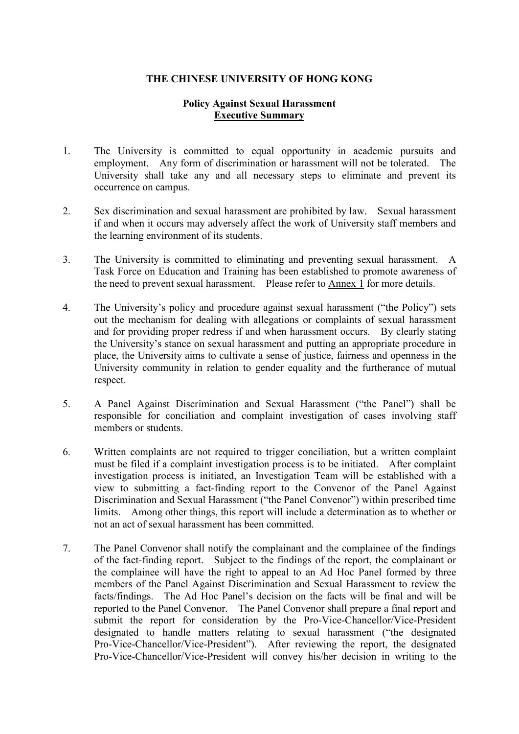# **Policy Against Sexual Harassment Executive Summary**

- 1. The University is committed to equal opportunity in academic pursuits and employment. Any form of discrimination or harassment will not be tolerated. The University shall take any and all necessary steps to eliminate and prevent its occurrence on campus.
- 2. Sex discrimination and sexual harassment are prohibited by law. Sexual harassment if and when it occurs may adversely affect the work of University staff members and the learning environment of its students.
- 3. The University is committed to eliminating and preventing sexual harassment. A Task Force on Education and Training has been established to promote awareness of the need to prevent sexual harassment. Please refer to Annex 1 for more details.
- 4. The University's policy and procedure against sexual harassment ("the Policy") sets out the mechanism for dealing with allegations or complaints of sexual harassment and for providing proper redress if and when harassment occurs. By clearly stating the University's stance on sexual harassment and putting an appropriate procedure in place, the University aims to cultivate a sense of justice, fairness and openness in the University community in relation to gender equality and the furtherance of mutual respect.
- 5. A Panel Against Discrimination and Sexual Harassment ("the Panel") shall be responsible for conciliation and complaint investigation of cases involving staff members or students.
- 6. Written complaints are not required to trigger conciliation, but a written complaint must be filed if a complaint investigation process is to be initiated. After complaint investigation process is initiated, an Investigation Team will be established with a view to submitting a fact-finding report to the Convenor of the Panel Against Discrimination and Sexual Harassment ("the Panel Convenor") within prescribed time limits. Among other things, this report will include a determination as to whether or not an act of sexual harassment has been committed.
- 7. The Panel Convenor shall notify the complainant and the complainee of the findings of the fact-finding report. Subject to the findings of the report, the complainant or the complainee will have the right to appeal to an Ad Hoc Panel formed by three members of the Panel Against Discrimination and Sexual Harassment to review the facts/findings. The Ad Hoc Panel's decision on the facts will be final and will be reported to the Panel Convenor. The Panel Convenor shall prepare a final report and submit the report for consideration by the Pro-Vice-Chancellor/Vice-President designated to handle matters relating to sexual harassment ("the designated Pro-Vice-Chancellor/Vice-President"). After reviewing the report, the designated Pro-Vice-Chancellor/Vice-President will convey his/her decision in writing to the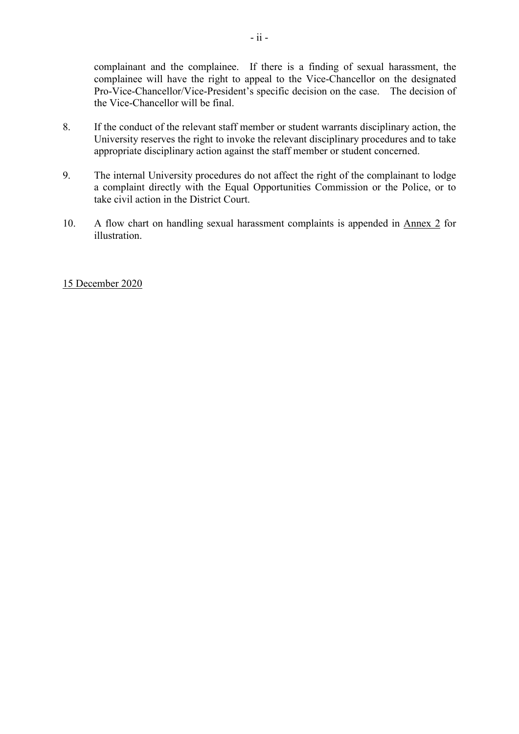complainant and the complainee. If there is a finding of sexual harassment, the complainee will have the right to appeal to the Vice-Chancellor on the designated Pro-Vice-Chancellor/Vice-President's specific decision on the case. The decision of the Vice-Chancellor will be final.

- 8. If the conduct of the relevant staff member or student warrants disciplinary action, the University reserves the right to invoke the relevant disciplinary procedures and to take appropriate disciplinary action against the staff member or student concerned.
- 9. The internal University procedures do not affect the right of the complainant to lodge a complaint directly with the Equal Opportunities Commission or the Police, or to take civil action in the District Court.
- 10. A flow chart on handling sexual harassment complaints is appended in Annex 2 for illustration.

#### 15 December 2020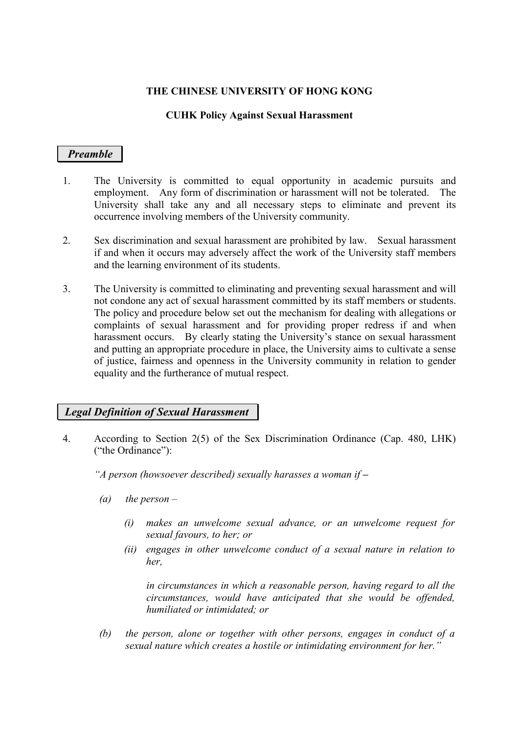### **CUHK Policy Against Sexual Harassment**

# *Preamble*

- 1. The University is committed to equal opportunity in academic pursuits and employment. Any form of discrimination or harassment will not be tolerated. The University shall take any and all necessary steps to eliminate and prevent its occurrence involving members of the University community.
- 2. Sex discrimination and sexual harassment are prohibited by law. Sexual harassment if and when it occurs may adversely affect the work of the University staff members and the learning environment of its students.
- 3. The University is committed to eliminating and preventing sexual harassment and will not condone any act of sexual harassment committed by its staff members or students. The policy and procedure below set out the mechanism for dealing with allegations or complaints of sexual harassment and for providing proper redress if and when harassment occurs. By clearly stating the University's stance on sexual harassment and putting an appropriate procedure in place, the University aims to cultivate a sense of justice, fairness and openness in the University community in relation to gender equality and the furtherance of mutual respect.

# *Legal Definition of Sexual Harassment*

4. According to Section 2(5) of the Sex Discrimination Ordinance (Cap. 480, LHK) ("the Ordinance"):

*"A person (howsoever described) sexually harasses a woman if –*

- *(a) the person –*
	- *(i) makes an unwelcome sexual advance, or an unwelcome request for sexual favours, to her; or*
	- *(ii) engages in other unwelcome conduct of a sexual nature in relation to her,*

*in circumstances in which a reasonable person, having regard to all the circumstances, would have anticipated that she would be offended, humiliated or intimidated; or*

*(b) the person, alone or together with other persons, engages in conduct of a sexual nature which creates a hostile or intimidating environment for her."*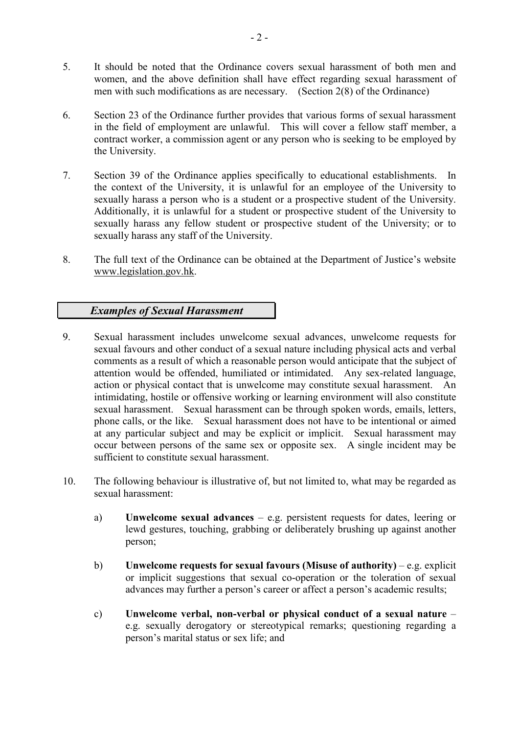- 5. It should be noted that the Ordinance covers sexual harassment of both men and women, and the above definition shall have effect regarding sexual harassment of men with such modifications as are necessary. (Section 2(8) of the Ordinance)
- 6. Section 23 of the Ordinance further provides that various forms of sexual harassment in the field of employment are unlawful. This will cover a fellow staff member, a contract worker, a commission agent or any person who is seeking to be employed by the University.
- 7. Section 39 of the Ordinance applies specifically to educational establishments. In the context of the University, it is unlawful for an employee of the University to sexually harass a person who is a student or a prospective student of the University. Additionally, it is unlawful for a student or prospective student of the University to sexually harass any fellow student or prospective student of the University; or to sexually harass any staff of the University.
- 8. The full text of the Ordinance can be obtained at the Department of Justice's website [www.legislation.gov.hk.](http://www.legislation.gov.hk/)

# *Examples of Sexual Harassment*

- 9. Sexual harassment includes unwelcome sexual advances, unwelcome requests for sexual favours and other conduct of a sexual nature including physical acts and verbal comments as a result of which a reasonable person would anticipate that the subject of attention would be offended, humiliated or intimidated. Any sex-related language, action or physical contact that is unwelcome may constitute sexual harassment. An intimidating, hostile or offensive working or learning environment will also constitute sexual harassment. Sexual harassment can be through spoken words, emails, letters, phone calls, or the like. Sexual harassment does not have to be intentional or aimed at any particular subject and may be explicit or implicit. Sexual harassment may occur between persons of the same sex or opposite sex. A single incident may be sufficient to constitute sexual harassment.
- 10. The following behaviour is illustrative of, but not limited to, what may be regarded as sexual harassment:
	- a) **Unwelcome sexual advances** e.g. persistent requests for dates, leering or lewd gestures, touching, grabbing or deliberately brushing up against another person;
	- b) **Unwelcome requests for sexual favours (Misuse of authority)**  e.g. explicit or implicit suggestions that sexual co-operation or the toleration of sexual advances may further a person's career or affect a person's academic results;
	- c) **Unwelcome verbal, non-verbal or physical conduct of a sexual nature** e.g. sexually derogatory or stereotypical remarks; questioning regarding a person's marital status or sex life; and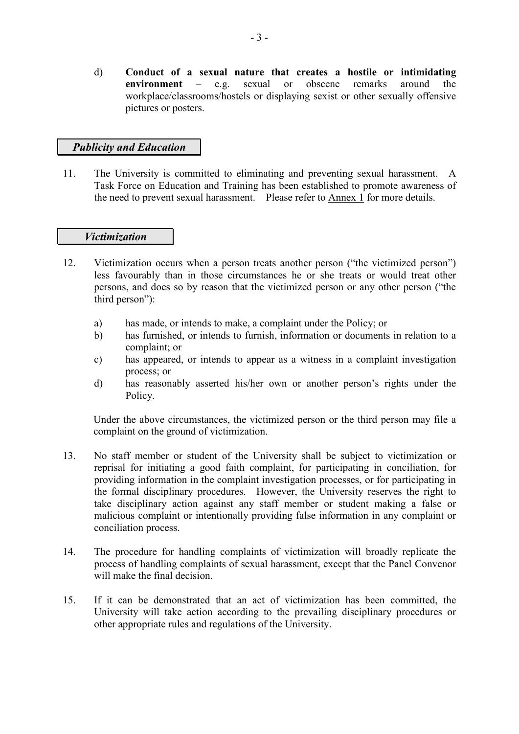d) **Conduct of a sexual nature that creates a hostile or intimidating environment** – e.g. sexual or obscene remarks around the workplace/classrooms/hostels or displaying sexist or other sexually offensive pictures or posters.

# *Publicity and Education*

11. The University is committed to eliminating and preventing sexual harassment. A Task Force on Education and Training has been established to promote awareness of the need to prevent sexual harassment. Please refer to Annex 1 for more details.

#### *Victimization*

- 12. Victimization occurs when a person treats another person ("the victimized person") less favourably than in those circumstances he or she treats or would treat other persons, and does so by reason that the victimized person or any other person ("the third person"):
	- a) has made, or intends to make, a complaint under the Policy; or
	- b) has furnished, or intends to furnish, information or documents in relation to a complaint; or
	- c) has appeared, or intends to appear as a witness in a complaint investigation process; or
	- d) has reasonably asserted his/her own or another person's rights under the Policy.

Under the above circumstances, the victimized person or the third person may file a complaint on the ground of victimization.

- 13. No staff member or student of the University shall be subject to victimization or reprisal for initiating a good faith complaint, for participating in conciliation, for providing information in the complaint investigation processes, or for participating in the formal disciplinary procedures. However, the University reserves the right to take disciplinary action against any staff member or student making a false or malicious complaint or intentionally providing false information in any complaint or conciliation process.
- 14. The procedure for handling complaints of victimization will broadly replicate the process of handling complaints of sexual harassment, except that the Panel Convenor will make the final decision.
- 15. If it can be demonstrated that an act of victimization has been committed, the University will take action according to the prevailing disciplinary procedures or other appropriate rules and regulations of the University.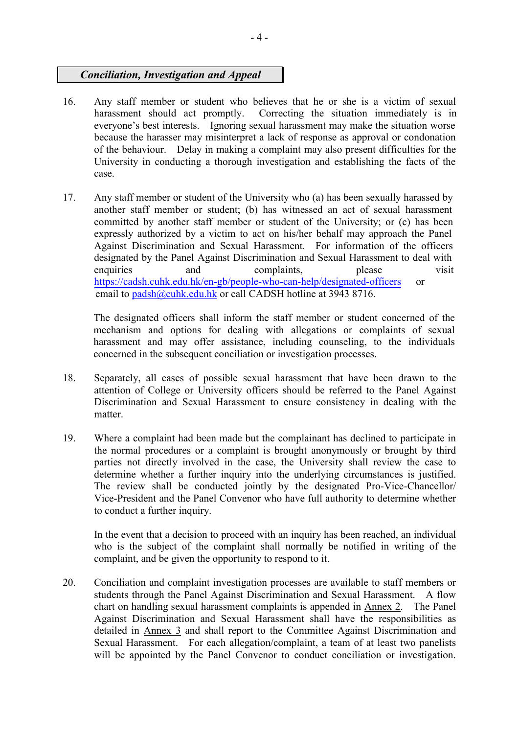# *Conciliation, Investigation and Appeal*

- 16. Any staff member or student who believes that he or she is a victim of sexual harassment should act promptly. Correcting the situation immediately is in Correcting the situation immediately is in everyone's best interests. Ignoring sexual harassment may make the situation worse because the harasser may misinterpret a lack of response as approval or condonation of the behaviour. Delay in making a complaint may also present difficulties for the University in conducting a thorough investigation and establishing the facts of the case.
- 17. Any staff member or student of the University who (a) has been sexually harassed by another staff member or student; (b) has witnessed an act of sexual harassment committed by another staff member or student of the University; or (c) has been expressly authorized by a victim to act on his/her behalf may approach the Panel Against Discrimination and Sexual Harassment. For information of the officers designated by the Panel Against Discrimination and Sexual Harassment to deal with enquiries and complaints, please visit https://cadsh[.cuhk.edu.hk/en-gb/people-who-can-help/designated-officers](http://policy-harass.cuhk.edu.hk/en-gb/people-who-can-help/designated-officers) or email to [padsh@cuhk.edu.hk](mailto:padsh@cuhk.edu.hk) or call CADSH hotline at 3943 8716.

The designated officers shall inform the staff member or student concerned of the mechanism and options for dealing with allegations or complaints of sexual harassment and may offer assistance, including counseling, to the individuals concerned in the subsequent conciliation or investigation processes.

- 18. Separately, all cases of possible sexual harassment that have been drawn to the attention of College or University officers should be referred to the Panel Against Discrimination and Sexual Harassment to ensure consistency in dealing with the matter.
- 19. Where a complaint had been made but the complainant has declined to participate in the normal procedures or a complaint is brought anonymously or brought by third parties not directly involved in the case, the University shall review the case to determine whether a further inquiry into the underlying circumstances is justified. The review shall be conducted jointly by the designated Pro-Vice-Chancellor/ Vice-President and the Panel Convenor who have full authority to determine whether to conduct a further inquiry.

In the event that a decision to proceed with an inquiry has been reached, an individual who is the subject of the complaint shall normally be notified in writing of the complaint, and be given the opportunity to respond to it.

20. Conciliation and complaint investigation processes are available to staff members or students through the Panel Against Discrimination and Sexual Harassment. A flow chart on handling sexual harassment complaints is appended in Annex 2. The Panel Against Discrimination and Sexual Harassment shall have the responsibilities as detailed in Annex 3 and shall report to the Committee Against Discrimination and Sexual Harassment. For each allegation/complaint, a team of at least two panelists will be appointed by the Panel Convenor to conduct conciliation or investigation.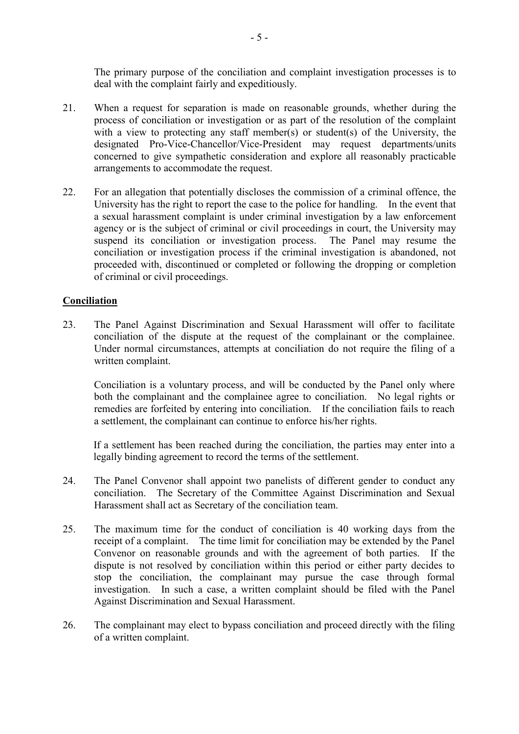The primary purpose of the conciliation and complaint investigation processes is to deal with the complaint fairly and expeditiously.

- 21. When a request for separation is made on reasonable grounds, whether during the process of conciliation or investigation or as part of the resolution of the complaint with a view to protecting any staff member(s) or student(s) of the University, the designated Pro-Vice-Chancellor/Vice-President may request departments/units concerned to give sympathetic consideration and explore all reasonably practicable arrangements to accommodate the request.
- 22. For an allegation that potentially discloses the commission of a criminal offence, the University has the right to report the case to the police for handling. In the event that a sexual harassment complaint is under criminal investigation by a law enforcement agency or is the subject of criminal or civil proceedings in court, the University may suspend its conciliation or investigation process. The Panel may resume the conciliation or investigation process if the criminal investigation is abandoned, not proceeded with, discontinued or completed or following the dropping or completion of criminal or civil proceedings.

### **Conciliation**

23. The Panel Against Discrimination and Sexual Harassment will offer to facilitate conciliation of the dispute at the request of the complainant or the complainee. Under normal circumstances, attempts at conciliation do not require the filing of a written complaint.

Conciliation is a voluntary process, and will be conducted by the Panel only where both the complainant and the complainee agree to conciliation. No legal rights or remedies are forfeited by entering into conciliation. If the conciliation fails to reach a settlement, the complainant can continue to enforce his/her rights.

If a settlement has been reached during the conciliation, the parties may enter into a legally binding agreement to record the terms of the settlement.

- 24. The Panel Convenor shall appoint two panelists of different gender to conduct any conciliation. The Secretary of the Committee Against Discrimination and Sexual Harassment shall act as Secretary of the conciliation team.
- 25. The maximum time for the conduct of conciliation is 40 working days from the receipt of a complaint. The time limit for conciliation may be extended by the Panel Convenor on reasonable grounds and with the agreement of both parties. If the dispute is not resolved by conciliation within this period or either party decides to stop the conciliation, the complainant may pursue the case through formal investigation. In such a case, a written complaint should be filed with the Panel Against Discrimination and Sexual Harassment.
- 26. The complainant may elect to bypass conciliation and proceed directly with the filing of a written complaint.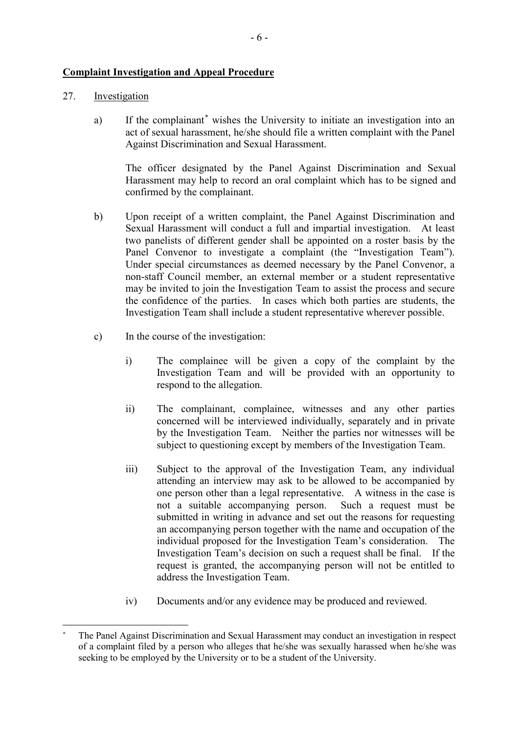### **Complaint Investigation and Appeal Procedure**

### 27. Investigation

a) If the complainant[\\*](#page-7-0) wishes the University to initiate an investigation into an act of sexual harassment, he/she should file a written complaint with the Panel Against Discrimination and Sexual Harassment.

The officer designated by the Panel Against Discrimination and Sexual Harassment may help to record an oral complaint which has to be signed and confirmed by the complainant.

- b) Upon receipt of a written complaint, the Panel Against Discrimination and Sexual Harassment will conduct a full and impartial investigation. At least two panelists of different gender shall be appointed on a roster basis by the Panel Convenor to investigate a complaint (the "Investigation Team"). Under special circumstances as deemed necessary by the Panel Convenor, a non-staff Council member, an external member or a student representative may be invited to join the Investigation Team to assist the process and secure the confidence of the parties. In cases which both parties are students, the Investigation Team shall include a student representative wherever possible.
- c) In the course of the investigation:
	- i) The complainee will be given a copy of the complaint by the Investigation Team and will be provided with an opportunity to respond to the allegation.
	- ii) The complainant, complainee, witnesses and any other parties concerned will be interviewed individually, separately and in private by the Investigation Team. Neither the parties nor witnesses will be subject to questioning except by members of the Investigation Team.
	- iii) Subject to the approval of the Investigation Team, any individual attending an interview may ask to be allowed to be accompanied by one person other than a legal representative. A witness in the case is not a suitable accompanying person. Such a request must be submitted in writing in advance and set out the reasons for requesting an accompanying person together with the name and occupation of the individual proposed for the Investigation Team's consideration. The Investigation Team's decision on such a request shall be final. If the request is granted, the accompanying person will not be entitled to address the Investigation Team.
	- iv) Documents and/or any evidence may be produced and reviewed.

<span id="page-7-0"></span> **<sup>\*</sup>** The Panel Against Discrimination and Sexual Harassment may conduct an investigation in respect of a complaint filed by a person who alleges that he/she was sexually harassed when he/she was seeking to be employed by the University or to be a student of the University.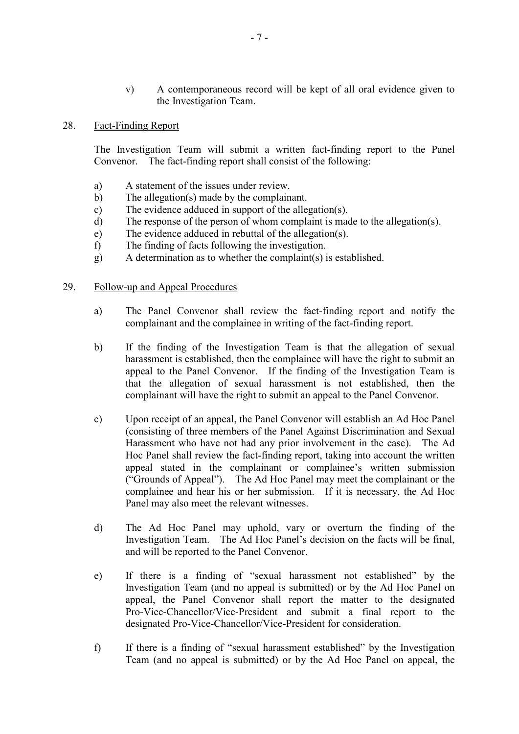v) A contemporaneous record will be kept of all oral evidence given to the Investigation Team.

#### 28. Fact-Finding Report

The Investigation Team will submit a written fact-finding report to the Panel Convenor. The fact-finding report shall consist of the following:

- a) A statement of the issues under review.<br>b) The allegation(s) made by the complains
- The allegation(s) made by the complainant.
- c) The evidence adduced in support of the allegation(s).
- d) The response of the person of whom complaint is made to the allegation(s).
- e) The evidence adduced in rebuttal of the allegation(s).
- f) The finding of facts following the investigation.
- g) A determination as to whether the complaint(s) is established.

#### 29. Follow-up and Appeal Procedures

- a) The Panel Convenor shall review the fact-finding report and notify the complainant and the complainee in writing of the fact-finding report.
- b) If the finding of the Investigation Team is that the allegation of sexual harassment is established, then the complainee will have the right to submit an appeal to the Panel Convenor. If the finding of the Investigation Team is that the allegation of sexual harassment is not established, then the complainant will have the right to submit an appeal to the Panel Convenor.
- c) Upon receipt of an appeal, the Panel Convenor will establish an Ad Hoc Panel (consisting of three members of the Panel Against Discrimination and Sexual Harassment who have not had any prior involvement in the case). The Ad Hoc Panel shall review the fact-finding report, taking into account the written appeal stated in the complainant or complainee's written submission ("Grounds of Appeal"). The Ad Hoc Panel may meet the complainant or the complainee and hear his or her submission. If it is necessary, the Ad Hoc Panel may also meet the relevant witnesses.
- d) The Ad Hoc Panel may uphold, vary or overturn the finding of the Investigation Team. The Ad Hoc Panel's decision on the facts will be final, and will be reported to the Panel Convenor.
- e) If there is a finding of "sexual harassment not established" by the Investigation Team (and no appeal is submitted) or by the Ad Hoc Panel on appeal, the Panel Convenor shall report the matter to the designated Pro-Vice-Chancellor/Vice-President and submit a final report to the designated Pro-Vice-Chancellor/Vice-President for consideration.
- f) If there is a finding of "sexual harassment established" by the Investigation Team (and no appeal is submitted) or by the Ad Hoc Panel on appeal, the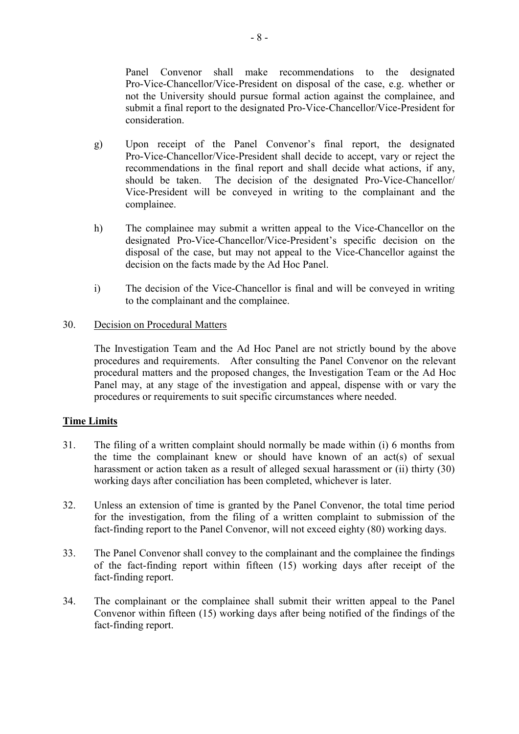Panel Convenor shall make recommendations to the designated Pro-Vice-Chancellor/Vice-President on disposal of the case, e.g. whether or not the University should pursue formal action against the complainee, and submit a final report to the designated Pro-Vice-Chancellor/Vice-President for consideration.

- g) Upon receipt of the Panel Convenor's final report, the designated Pro-Vice-Chancellor/Vice-President shall decide to accept, vary or reject the recommendations in the final report and shall decide what actions, if any, should be taken. The decision of the designated Pro-Vice-Chancellor/ Vice-President will be conveyed in writing to the complainant and the complainee.
- h) The complainee may submit a written appeal to the Vice-Chancellor on the designated Pro-Vice-Chancellor/Vice-President's specific decision on the disposal of the case, but may not appeal to the Vice-Chancellor against the decision on the facts made by the Ad Hoc Panel.
- i) The decision of the Vice-Chancellor is final and will be conveyed in writing to the complainant and the complainee.

#### 30. Decision on Procedural Matters

The Investigation Team and the Ad Hoc Panel are not strictly bound by the above procedures and requirements. After consulting the Panel Convenor on the relevant procedural matters and the proposed changes, the Investigation Team or the Ad Hoc Panel may, at any stage of the investigation and appeal, dispense with or vary the procedures or requirements to suit specific circumstances where needed.

# **Time Limits**

- 31. The filing of a written complaint should normally be made within (i) 6 months from the time the complainant knew or should have known of an act(s) of sexual harassment or action taken as a result of alleged sexual harassment or (ii) thirty (30) working days after conciliation has been completed, whichever is later.
- 32. Unless an extension of time is granted by the Panel Convenor, the total time period for the investigation, from the filing of a written complaint to submission of the fact-finding report to the Panel Convenor, will not exceed eighty (80) working days.
- 33. The Panel Convenor shall convey to the complainant and the complainee the findings of the fact-finding report within fifteen (15) working days after receipt of the fact-finding report.
- 34. The complainant or the complainee shall submit their written appeal to the Panel Convenor within fifteen (15) working days after being notified of the findings of the fact-finding report.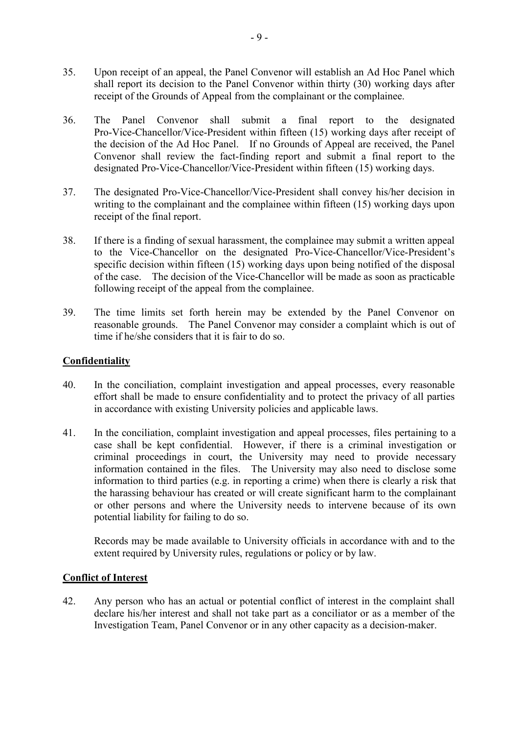- 35. Upon receipt of an appeal, the Panel Convenor will establish an Ad Hoc Panel which shall report its decision to the Panel Convenor within thirty (30) working days after receipt of the Grounds of Appeal from the complainant or the complainee.
- 36. The Panel Convenor shall submit a final report to the designated Pro-Vice-Chancellor/Vice-President within fifteen (15) working days after receipt of the decision of the Ad Hoc Panel. If no Grounds of Appeal are received, the Panel Convenor shall review the fact-finding report and submit a final report to the designated Pro-Vice-Chancellor/Vice-President within fifteen (15) working days.
- 37. The designated Pro-Vice-Chancellor/Vice-President shall convey his/her decision in writing to the complainant and the complainee within fifteen (15) working days upon receipt of the final report.
- 38. If there is a finding of sexual harassment, the complainee may submit a written appeal to the Vice-Chancellor on the designated Pro-Vice-Chancellor/Vice-President's specific decision within fifteen (15) working days upon being notified of the disposal of the case. The decision of the Vice-Chancellor will be made as soon as practicable following receipt of the appeal from the complainee.
- 39. The time limits set forth herein may be extended by the Panel Convenor on reasonable grounds. The Panel Convenor may consider a complaint which is out of time if he/she considers that it is fair to do so.

### **Confidentiality**

- 40. In the conciliation, complaint investigation and appeal processes, every reasonable effort shall be made to ensure confidentiality and to protect the privacy of all parties in accordance with existing University policies and applicable laws.
- 41. In the conciliation, complaint investigation and appeal processes, files pertaining to a case shall be kept confidential. However, if there is a criminal investigation or criminal proceedings in court, the University may need to provide necessary information contained in the files. The University may also need to disclose some information to third parties (e.g. in reporting a crime) when there is clearly a risk that the harassing behaviour has created or will create significant harm to the complainant or other persons and where the University needs to intervene because of its own potential liability for failing to do so.

Records may be made available to University officials in accordance with and to the extent required by University rules, regulations or policy or by law.

#### **Conflict of Interest**

42. Any person who has an actual or potential conflict of interest in the complaint shall declare his/her interest and shall not take part as a conciliator or as a member of the Investigation Team, Panel Convenor or in any other capacity as a decision-maker.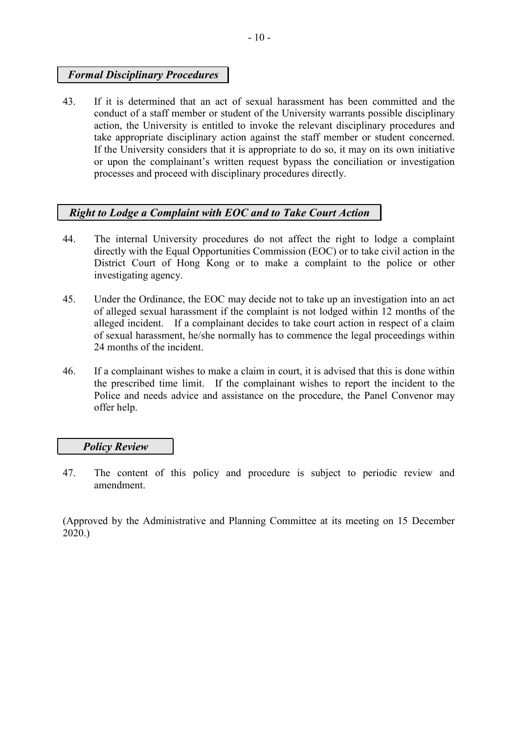# *Formal Disciplinary Procedures*

43. If it is determined that an act of sexual harassment has been committed and the conduct of a staff member or student of the University warrants possible disciplinary action, the University is entitled to invoke the relevant disciplinary procedures and take appropriate disciplinary action against the staff member or student concerned. If the University considers that it is appropriate to do so, it may on its own initiative or upon the complainant's written request bypass the conciliation or investigation processes and proceed with disciplinary procedures directly.

# *Right to Lodge a Complaint with EOC and to Take Court Action*

- 44. The internal University procedures do not affect the right to lodge a complaint directly with the Equal Opportunities Commission (EOC) or to take civil action in the District Court of Hong Kong or to make a complaint to the police or other investigating agency.
- 45. Under the Ordinance, the EOC may decide not to take up an investigation into an act of alleged sexual harassment if the complaint is not lodged within 12 months of the alleged incident. If a complainant decides to take court action in respect of a claim of sexual harassment, he/she normally has to commence the legal proceedings within 24 months of the incident.
- 46. If a complainant wishes to make a claim in court, it is advised that this is done within the prescribed time limit. If the complainant wishes to report the incident to the Police and needs advice and assistance on the procedure, the Panel Convenor may offer help.

# *Policy Review*

47. The content of this policy and procedure is subject to periodic review and amendment.

(Approved by the Administrative and Planning Committee at its meeting on 15 December 2020.)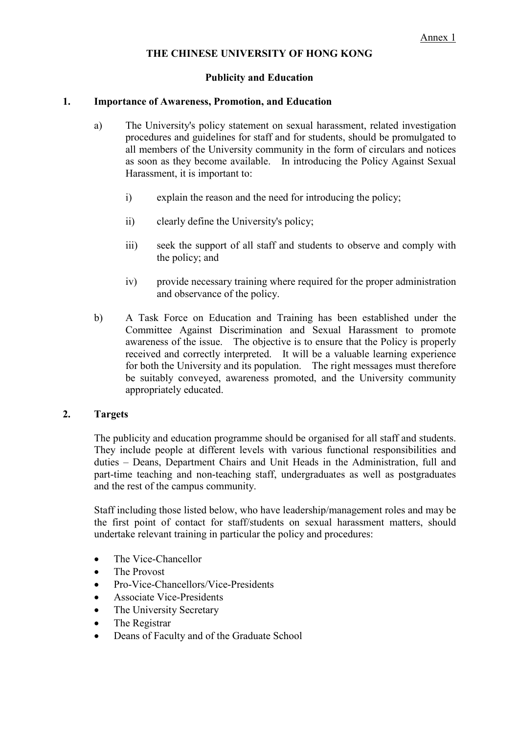### **Publicity and Education**

#### **1. Importance of Awareness, Promotion, and Education**

- a) The University's policy statement on sexual harassment, related investigation procedures and guidelines for staff and for students, should be promulgated to all members of the University community in the form of circulars and notices as soon as they become available. In introducing the Policy Against Sexual Harassment, it is important to:
	- i) explain the reason and the need for introducing the policy;
	- ii) clearly define the University's policy;
	- iii) seek the support of all staff and students to observe and comply with the policy; and
	- iv) provide necessary training where required for the proper administration and observance of the policy.
- b) A Task Force on Education and Training has been established under the Committee Against Discrimination and Sexual Harassment to promote awareness of the issue. The objective is to ensure that the Policy is properly received and correctly interpreted. It will be a valuable learning experience for both the University and its population. The right messages must therefore be suitably conveyed, awareness promoted, and the University community appropriately educated.

#### **2. Targets**

The publicity and education programme should be organised for all staff and students. They include people at different levels with various functional responsibilities and duties – Deans, Department Chairs and Unit Heads in the Administration, full and part-time teaching and non-teaching staff, undergraduates as well as postgraduates and the rest of the campus community.

Staff including those listed below, who have leadership/management roles and may be the first point of contact for staff/students on sexual harassment matters, should undertake relevant training in particular the policy and procedures:

- The Vice-Chancellor
- The Provost
- Pro-Vice-Chancellors/Vice-Presidents
- Associate Vice-Presidents
- The University Secretary
- The Registrar
- Deans of Faculty and of the Graduate School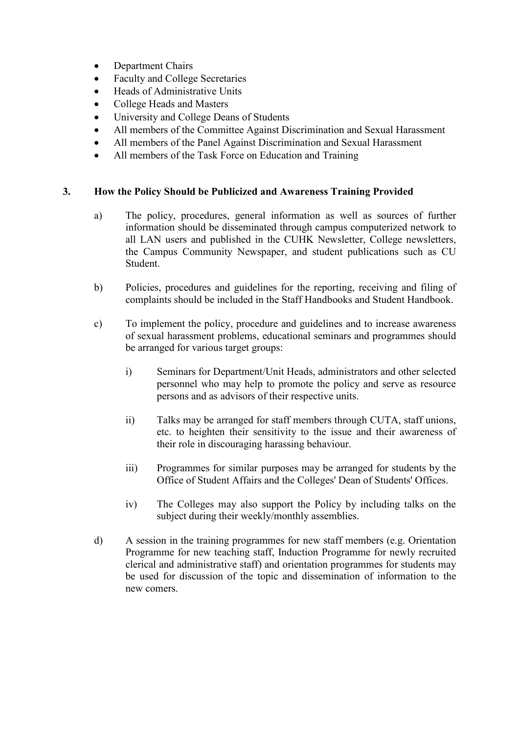- Department Chairs
- Faculty and College Secretaries
- Heads of Administrative Units
- College Heads and Masters
- University and College Deans of Students
- All members of the Committee Against Discrimination and Sexual Harassment
- All members of the Panel Against Discrimination and Sexual Harassment
- All members of the Task Force on Education and Training

### **3. How the Policy Should be Publicized and Awareness Training Provided**

- a) The policy, procedures, general information as well as sources of further information should be disseminated through campus computerized network to all LAN users and published in the CUHK Newsletter, College newsletters, the Campus Community Newspaper, and student publications such as CU Student.
- b) Policies, procedures and guidelines for the reporting, receiving and filing of complaints should be included in the Staff Handbooks and Student Handbook.
- c) To implement the policy, procedure and guidelines and to increase awareness of sexual harassment problems, educational seminars and programmes should be arranged for various target groups:
	- i) Seminars for Department/Unit Heads, administrators and other selected personnel who may help to promote the policy and serve as resource persons and as advisors of their respective units.
	- ii) Talks may be arranged for staff members through CUTA, staff unions, etc. to heighten their sensitivity to the issue and their awareness of their role in discouraging harassing behaviour.
	- iii) Programmes for similar purposes may be arranged for students by the Office of Student Affairs and the Colleges' Dean of Students' Offices.
	- iv) The Colleges may also support the Policy by including talks on the subject during their weekly/monthly assemblies.
- d) A session in the training programmes for new staff members (e.g. Orientation Programme for new teaching staff, Induction Programme for newly recruited clerical and administrative staff) and orientation programmes for students may be used for discussion of the topic and dissemination of information to the new comers.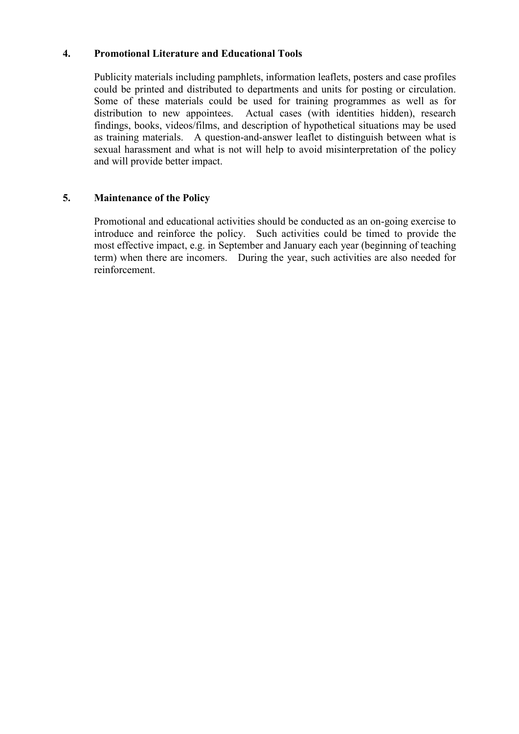### **4. Promotional Literature and Educational Tools**

Publicity materials including pamphlets, information leaflets, posters and case profiles could be printed and distributed to departments and units for posting or circulation. Some of these materials could be used for training programmes as well as for distribution to new appointees. Actual cases (with identities hidden), research findings, books, videos/films, and description of hypothetical situations may be used as training materials. A question-and-answer leaflet to distinguish between what is sexual harassment and what is not will help to avoid misinterpretation of the policy and will provide better impact.

# **5. Maintenance of the Policy**

Promotional and educational activities should be conducted as an on-going exercise to introduce and reinforce the policy. Such activities could be timed to provide the most effective impact, e.g. in September and January each year (beginning of teaching term) when there are incomers. During the year, such activities are also needed for reinforcement.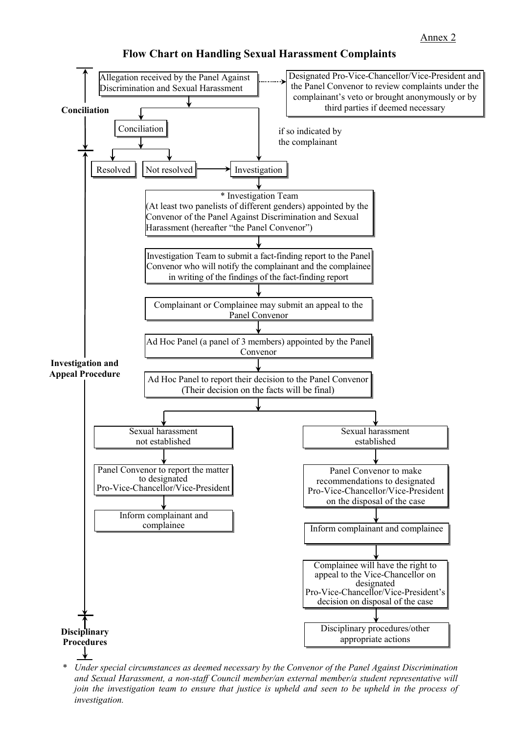

**Flow Chart on Handling Sexual Harassment Complaints**

\* *Under special circumstances as deemed necessary by the Convenor of the Panel Against Discrimination and Sexual Harassment, a non-staff Council member/an external member/a student representative will join the investigation team to ensure that justice is upheld and seen to be upheld in the process of investigation.*